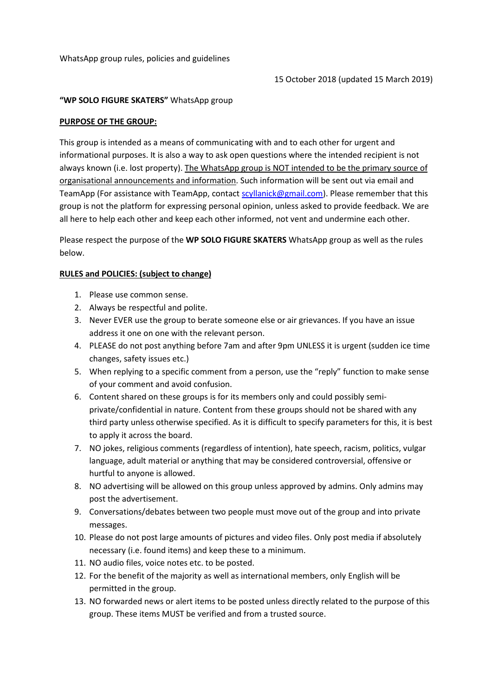WhatsApp group rules, policies and guidelines

## "WP SOLO FIGURE SKATERS" WhatsApp group

## PURPOSE OF THE GROUP:

This group is intended as a means of communicating with and to each other for urgent and informational purposes. It is also a way to ask open questions where the intended recipient is not always known (i.e. lost property). The WhatsApp group is NOT intended to be the primary source of organisational announcements and information. Such information will be sent out via email and TeamApp (For assistance with TeamApp, contact scyllanick@gmail.com). Please remember that this group is not the platform for expressing personal opinion, unless asked to provide feedback. We are all here to help each other and keep each other informed, not vent and undermine each other.

Please respect the purpose of the WP SOLO FIGURE SKATERS WhatsApp group as well as the rules below.

## RULES and POLICIES: (subject to change)

- 1. Please use common sense.
- 2. Always be respectful and polite.
- 3. Never EVER use the group to berate someone else or air grievances. If you have an issue address it one on one with the relevant person.
- 4. PLEASE do not post anything before 7am and after 9pm UNLESS it is urgent (sudden ice time changes, safety issues etc.)
- 5. When replying to a specific comment from a person, use the "reply" function to make sense of your comment and avoid confusion.
- 6. Content shared on these groups is for its members only and could possibly semiprivate/confidential in nature. Content from these groups should not be shared with any third party unless otherwise specified. As it is difficult to specify parameters for this, it is best to apply it across the board.
- 7. NO jokes, religious comments (regardless of intention), hate speech, racism, politics, vulgar language, adult material or anything that may be considered controversial, offensive or hurtful to anyone is allowed.
- 8. NO advertising will be allowed on this group unless approved by admins. Only admins may post the advertisement.
- 9. Conversations/debates between two people must move out of the group and into private messages.
- 10. Please do not post large amounts of pictures and video files. Only post media if absolutely necessary (i.e. found items) and keep these to a minimum.
- 11. NO audio files, voice notes etc. to be posted.
- 12. For the benefit of the majority as well as international members, only English will be permitted in the group.
- 13. NO forwarded news or alert items to be posted unless directly related to the purpose of this group. These items MUST be verified and from a trusted source.